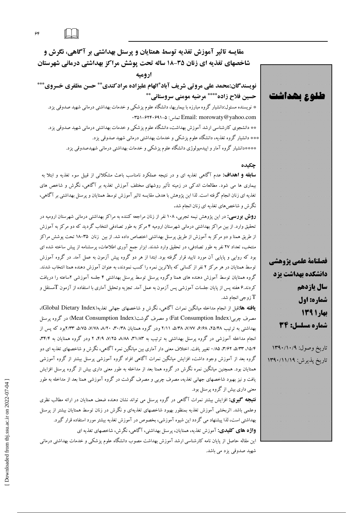مقایسه تاثیر آموزش تغذیه توسط همتایان و پرسنل بهداشتی بر آگاهی، نگرش و شاخصهای تغذیه ای زنان ۳۵-۱۸ ساله تحت پوشش مراکز بهداشتی درمانی شهرستان اروميه

نویسندگان:محمد علی مروتی شریف آباد\*الهام علیزاده مرادکندی\*\* حسن مظفری خسروی\*\*\* حسين فلاح زاده\*\*\*\* مرضيه مومني سروستاني\*\*\*

\* نویسنده مسئول:دانشیار گروه مبارزه با بیماریها، دانشگاه علوم پزشکی و خدمات بهداشتی درمانی شهید صدوقی یزد. . ۳۵۱–۶۲۴۰۶۹۱–۲۵ Email: morowaty @yahoo.com تعاس: ۱-۶۲۴۰۶۹۱–۲ \*\* دانشجوی کارشناسی ارشد آموزش بهداشت، دانشگاه علوم پزشکی و خدمات بهداشتی درمانی شهید صدوقی یزد. \*\*\* دانشیار گروه تغذیه، دانشگاه علوم یزشکی و خدمات بهداشتی درمانی شهید صدوقی یزد. \*\*\*\*دانشیار گروه آمار و اپیدمیولوژی دانشگاه علوم پزشک<sub>ی</sub> و خدمات بهداشتی درمانی شهیدصدوقی یزد.

### چکیده

**سابقه و اهداف:** عدم آگاهی تغذیه ای و در نتیجه عملکرد نامناسب باعث مشکلاتی از قبیل سوء تغذیه و ابتلا به بیماری ها می شود. مطالعات اندکی در زمینه تأثیر روشهای مختلف آموزش تغذیه بر آگاهی، نگرش و شاخص های تغذیه ای زنان انجام گرفته است. لذا این پژوهش با هدف مقایسه تاثیر آموزش توسط همتایان و پرسنل بهداشتی بر آگاهی، نگرش و شاخص های تغذیه ای زنان انجام شد.

**روش بورسی:** در این پژوهش نیمه تجربی، ۱۰۸ نفر از زنان مراجعه کننده به مراکز بهداشتی درمانی شهرستان ارومیه در تحقیق وارد. از بین مراکز بهداشتی درمانی شهرستان ارومیه ۴ مرکز به طور تصادفی انتخاب گردید که دو مرکز به آموزش از طریق همتا و دو مرکز به آموزش از طریق پرسنل بهداشتی اختصاص داده شد. از بین زنان ۳۵–۱۸ تحت پوشش مراکز منتخب، تعداد ۲۷ نفر به طور تصادفی، در تحقیق وارد شدند. ابزار جمع آوری اطلاعات، پرسشنامه از پیش ساخته شده ای بود که روایی و پایایی آن مورد تایید قرار گرفته بود. ابتدا از هر دو گروه پیش آزمون به عمل آمد. در گروه آموزش توسط همتایان در هر مرکز ۲ نفر از کسانی که بالاترین نمره را کسب نمودند، به عنوان آموزش دهنده همتا انتخاب شدند. گروه همتایان توسط آموزش دهنده های همتا وگروه پرسنل توسط پرسنل بهداشتی ۴ جلسه آموزشی ۲ساعته را دریافت کردند.۶ هفته پس از پایان جلسات آموزشی پس آزمون به عمل آمد. تجزیه وتحلیل آماری با استفاده از آزمون Tمستقل و زوجي انجام شد.  $\rm{T}$ 

**یافته ها:**قبل از انجام مداخله میانگین نمرات آگاهی، نگرش و شاخصهای جهانی تغذیه(Global Dietary Index)، مصرف چربی(Fat Consumption Index) و مصرف گوشت(Meat Consumption Index) در گروه پرسنل بهداشتی به ترتیب ۲۵/۴۸، ۶/۶۸، ۷/۷۷، ۵/۳۸، ۲/۱۱ ودر گروه همتایان ۳۰/۳۸، ۸/۲۰، ۵/۷۵، ۳۳۳،۲۳پود که پس از انجام مداخله آموزشی در گروه پرسنل بهداشتی به ترتیب به ۳۱/۸۳، ۸/۸۸، ۷/۲۵، ۲/۴/ ۲ ودر گروه همتایان به ۳۴/۴، ۱۵/۴، ۳/۶۳، ۳/۶۵، ۲/۶۲، تغییر یافت. اختلاف معنی دار آماری بین میانگین نمره آگاهی، نگرش و شاخصهای تغذیه ای دو گروه بعد از آموزش وجود داشت، افزایش میانگین نمرات آگاهی افراد گروه آموزشی پرسنل بیشتر از گروه آموزشی همتایان بود. همچنین میانگین نمره نگرش در گروه همتا بعد از مداخله به طور معنی داری بیش از گروه پرسنل افزایش یافت و نیز بهبود شاخصهای جهانی تغذیه، مصرف چربی و مصرف گوشت در گروه آموزشی همتا بعد از مداخله به طور معنی داری بیش از گروه پرسنل بود.

**نتیجه گیری:** افزایش بیشتر نمرات آگاهی در گروه پرسنل می تواند نشان دهنده ضعف همتایان در ارائه مطالب نظری وعلمی باشد. اثربخشی آموزش تغذیه بمنظور بهبود شاخصهای تغذیهای و نگرش در زنان توسط همتایان بیشتر از پرسنل بهداشتی است، لذا پیشنهاد می گردد این شیوه آموزشی، بخصوص در آموزش تغذیه بیشتر مورد استفاده قرار گیرد. **واژه های کلیدی:** آموزش تغذیه، همتایان، پرسنل بهداشتی، آگاهی، نگرش، شاخصهای تغذیه ای

این مقاله حاصل از پایان نامه کارشناسی ارشد آموزش بهداشت مصوب دانشگاه علوم پزشکی و خدمات بهداشتی درمانی شهيد صدوقي يزد مي باشد.



 $\hat{\epsilon}$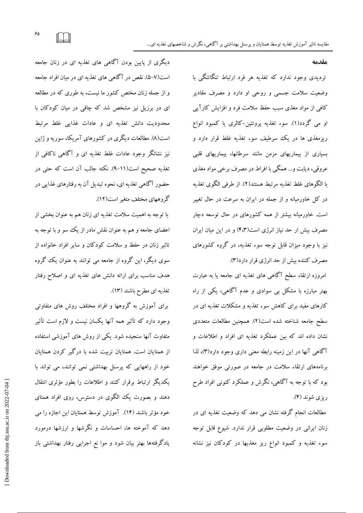مقدمه

تردیدی وجود ندارد که تغذیه هر فرد ارتباط تنگاتنگی با وضعیت سلامت جسمی و روحی او دارد و مصرف مقادیر کافی از مواد مغذی سبب حفظ سلامت فرد و افزایش کارآیی او مي گردد(۱). سوء تغذيه پروتئين-کالري يا کمبود انواع ریزمغذی ها در یک سرطیف سوء تغذیه غلط قرار دارد و بسیاری از بیماریهای مزمن مانند سرطانها، بیماریهای قلبی عروقي، ديابت و... همگي با افراط در مصرف برخي مواد مغذي با الگوهای غلط تغذیه مرتبط هستند(۲). از طرفی الگوی تغذیه در کل خاورمیانه و از جمله در ایران به سرعت در حال تغییر است. خاورمیانه بیشتر از همه کشورهای در حال توسعه دچار مصرف بیش ار حد نیاز انرژی است(۴،۳) و در این میان ایران نیز با وجود میزان قابل توجه سوء تغذیه، در گروه کشورهای مصرف كننده بيش از حد انرژى قرار دارد(٣).

امروزه ارتقاء سطح آگاهی های تغذیه ای جامعه یا به عبارت بهتر مبارزه با مشکل بی سوادی و عدم آگاهی، یکی از راه کارهای مفید برای کاهش سوء تغذیه و مشکلات تغذیه ای در سطح جامعه شناخته شده است (٢). همچنین مطالعات متعددی نشان داده اند که مین عملکرد تغذیه ای افراد و اطلاعات و آگاهی آنها در این زمینه رابطه معنی داری وجود دارد(۳)، لذا برنامههای ارتقاء سلامت در جامعه در صورتی موفق خواهند بود که با توجه به آگاهی، نگرش و عملکرد کنونی افراد طرح ریزی شوند (۴).

مطالعات انجام گرفته نشان می دهد که وضعیت تغذیه ای در زنان ایرانی در وضعیت مطلوبی قرار ندارد. شیوع قابل توجه سوء تغذیه و کمبود انواع ریز مغذیها در کودکان نیز نشانه

دیگری از پایین بودن آگاهی های تغذیه ای در زنان جامعه است(۷–۵). نقص در آگاهی های تغذیه ای در مبان افراد جامعه و از جمله زنان مختص کشور ما نیست، به طوری که در مطالعه ای در برزیل نیز مشخص شد که چاقی در میان کودکان با محدودیت دانش تغذیه ای و عادات غذایی غلط مرتبط است(۸). مطالعات دیگری در کشورهای آمریکا، سوریه و ژاپن نیز نشانگر وجود عادات غلط تغذیه ای و آگاهی ناکافی از تغذیه صحیح است(۱۱-۹). نکته جالب آن است که حتی در حضور آگاهی تغذیه ای، نحوه تبدیل آن به رفتارهای غذایی در گروههای مختلف متغیر است(۱۲).

با توجه به اهمیت سلامت تغذیه ای زنان هم به عنوان بخشی از اعضای جامعه و هم به عنوان نقش مادر از یک سو و با توجه به تاثیر زنان در حفظ و سلامت کودکان و سایر افراد خانواده از سوی دیگر، این گروه از جامعه می توانند به عنوان یک گروه هدف مناسب برای ارائه دانش های تغذیه ای و اصلاح رفتار تغذیه ای مطرح باشند (۱۳).

برای آموزش به گروهها و افراد مختلف روش های متفاوتی وجود دارد که تأثیر همه آنها یکسان نیست و لازم است تأثیر متفاوت آنها سنجبده شود. یکی از روش های آموزشی استفاده از همتایان است. همتایان تربیت شده با درگیر کردن همتایان خود از راههایی که پرسنل بهداشتی نمی توانند، می تواند با یکدیگر ارتباط برقرار کنند و اطلاعات را بطور مؤثری انتقال دهند و بصورت یک الگوی در دسترس، روی افراد همتای خود مؤثر باشند (١۴). آموزش توسط همتايان اين اجازه را مي دهد که آموخته ها، احساسات و نگرشها و ارزشها درمورد یادگرفتهها بهتر بیان شود و موا نع اجرایی رفتار بهداشتی باز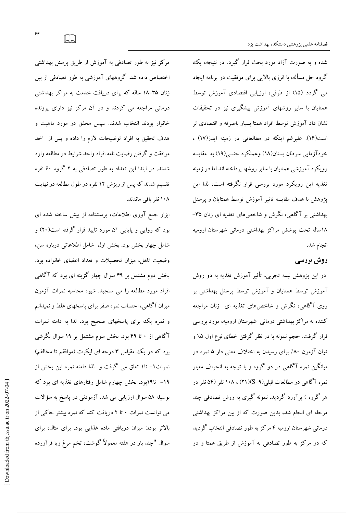شده و به صورت آزاد مورد بحث قرار گیرد. در نتیجه، یک گروه حل مسأله، با انرژی بالایی برای موفقیت در برنامه ایجاد می گردد (۱۵) از طرفی، ارزیابی اقتصادی آموزش توسط همتایان با سایر روشهای آموزش پیشگیری نیز در تحقیقات نشان داد آموزش توسط افراد همتا بسیار باصرفه و اقتصادی تر است(۱۶). علیرغم اینکه در مطالعاتی در زمینه ایدز(۱۷) ، خودآزمایی سرطان پستان(۱۸) وعملکرد جنسی(۱۹) به مقایسه رویکرد آموزشی همتایان با سایر روشها پرداخته اند اما در زمینه تغذیه این رویکرد مورد بررسی قرار نگرفته است، لذا این يژوهش با هدف مقايسه تاثير آموزش توسط همتايان و پرسنل بهداشتی بر آگاهی، نگرش و شاخصهای تغذیه ای زنان ۳۵– ۱۸ساله تحت یوشش مراکز بهداشتی درمانی شهرستان ارومیه انجام شد.

# روش بررسی

در این پژوهش نیمه تجربی، تأثیر آموزش تغذیه به دو روش آموزش توسط همتایان و آموزش توسط پرسنل بهداشتی بر روی آگاهی، نگرش و شاخصهای تغذیه ای زنان مراجعه کننده به مراکز بهداشتی درمانی شهرستان ارومیه، مورد بررسی قرار گرفت. حجم نمونه با در نظر گرفتن خطای نوع اول ۵٪ و توان آزمون ۸۰٪ برای رسیدن به اختلاف معنی دار ۵ نمره در میانگین نمره آگاهی در دو گروه و با توجه به انحراف معیار نمره آگاهی در مطالعات قبلی(S=۹)(۲۱) ، ۱۰۸ نفر (۵۴ نفر در هر گروه ) برآورد گردید. نمونه گیری به روش تصادفی چند مرحله ای انجام شد، بدین صورت که از بین مراکز بهداشتی درمانی شهرستان ارومیه ۴ مرکز به طور تصادفی انتخاب گردید که دو مرکز به طور تصادفی به آموزش از طریق همتا و دو

مرکز نیز به طور تصادفی به آموزش از طریق پرسنل بهداشتی اختصاص داده شد. گروههای آموزشی به طور تصادفی از بین زنان ۳۵–۱۸ ساله که برای دریافت خدمت به مراکز بهداشتی درمانی مراجعه می کردند و در آن مرکز نیز دارای پرونده خانوار بودند انتخاب شدند. سیس محقق در مورد ماهیت و هدف تحقیق به افراد توضیحات لازم را داده و پس از اخذ موافقت و گرفتن رضایت نامه افراد واجد شرایط در مطالعه وارد شدند. در ابتدا این تعداد به طور تصادفی به ۲ گروه ۶۰ نفره تقسیم شدند که پس از ریزش ۱۲ نفره در طول مطالعه در نهایت ۱۰۸ نفر باقی ماندند.

ابزار جمع آوری اطلاعات، پرسشنامه از پیش ساخته شده ای بود که روایی و پایایی آن مورد تایید قرار گرفته است(۲۰) و شامل چهار بخش بود. بخش اول شامل اطلاعاتی درباره سن، وضعیت تاهل، میزان تحصیلات و تعداد اعضای خانواده بود. بخش دوم مشتمل بر ۴۹ سوال چهار گزینه ای بود که آگاهی افراد مورد مطالعه را می سنجید. شیوه محاسبه نمرات آزمون میزان آگاهی، احتساب نمره صفر برای پاسخهای غلط و نمیدانم و نمره یک برای پاسخهای صحیح بود، لذا به دامنه نمرات آگاهی از ۰ تا ۴۹ بود. بخش سوم مشتمل بر ۱۹ سوال نگرشی بود که در یک مقیاس ۳ درجه ای لیکرت (موافقم تا مخالفم) نمرات١- تا١ تعلق مي گرفت و لذا دامنه نمره اين بخش از ۱۹– تا۱۹بود. بخش چهارم شامل رفتارهای تغذیه ای بود که بوسيله ۵۸ سوال ارزيابي مي شد. آزمودني در ياسخ به سؤالات می توانست نمرات ۰ تا ۲ دریافت کند که نمره بیشتر حاکی از بالاتر بودن میزان دریافتی ماده غذایی بود. برای مثال، برای سوال "چند بار در هفته معمولاً گوشت، تخم مرغ ویا فرآورده

 $\Box$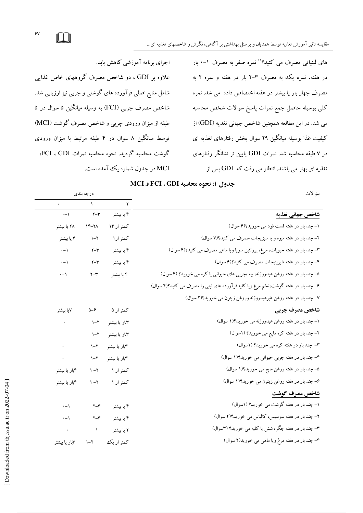های لبنیاتی مصرف می کنید؟" نمره صفر به مصرف ۱-۰ بار در هفته، نمره یک به مصرف ۳–۲ بار در هفته و نمره ۲ به مصرف چهار بار یا بیشتر در هفته اختصاص داده می شد. نمره كلى بوسيله حاصل جمع نمرات پاسخ سوالات شخص محاسبه می شد. در این مطالعه همچنین شاخص جهانی تغذیه (GDI) از کیفیت غذا بوسیله میانگین ۲۹ سوال بخش رفتارهای تغذیه ای در ۷ طبقه محاسبه شد. نمرات GDI پایین تر نشانگر رفتارهای تغذیه ای بهتر می باشند. انتظار می رفت که GDI پس از

اجرای برنامه آموزشی کاهش یابد. علاوه بر GDI ، دو شاخص مصرف گروههای خاص غذایی شامل منابع اصلی فرآورده های گوشتی و چربی نیز ارزیابی شد. شاخص مصرف چربی (FCI) به وسیله میانگین ۵ سوال در ۵ طبقه از میزان ورودی چربی و شاخص مصرف گوشت (MCI) توسط میانگین ۸ سوال در ۴ طبقه مرتبط با میزان ورودی گوشت محاسبه گردید. نحوه محاسبه نمرات FCI، GDI، MCI در جدول شماره یک آمده است.

| سؤ الات                                                                            |                       | درجه بندي                 |                       |  |
|------------------------------------------------------------------------------------|-----------------------|---------------------------|-----------------------|--|
|                                                                                    | ۲                     |                           |                       |  |
| شاخص جهاني تغذيه                                                                   | ۴ یا بیشتر            | $Y - Y$                   | $\cdot - \wedge$      |  |
| ۱- چند بار در هفته فست فود می خورید؟(۴ سوال)                                       | کمتر از ۱۴            | $1F-7\Lambda$             | ۲۸ یا بیشتر           |  |
| ۲= چند بار در هفته میوه و یا سبزیجات مصرف می کنید؟(۷ سوال)                         | كمتر از ۱             | $1 - 7$                   | ۳ یا بیشتر            |  |
| ۳– چند بار در هفته حبوبات، مرغ، پروتئین سویا ویا ماهی مصرف می کنید؟(۴ سوال)        | ۴ یا بیشتر            | $Y - Y$                   | $\cdot - \cdot$       |  |
| ۴- چند بار در هفته شیرینیجات مصرف می کنید؟(۶ سوال)                                 | ۴ یا بیشتر            | $Y - Y$                   | $\cdot$ - $\setminus$ |  |
| ۵– چند بار در هفته روغن هیدروژنه، پیه ،چربی های حیوانی یا کره می خورید؟ (۴ سوال)   | ۴ یا بیشتر            | $Y - Y$                   | $\cdot - \Lambda$     |  |
| ۶– چند بار در هفته گوشت،تخم مرغ ویا کلیه فرآورده های لبنی را مصرف می کنید؟(۴ سوال) |                       |                           |                       |  |
| ٧- چند بار در هفته روغن غیرهیدروژنه وروغن زیتون می خورید؟(٢ سوال)                  |                       |                           |                       |  |
| شاخص مصرف چربی                                                                     | کمتر از ۵             | $\Delta-\hat{z}$          | ۷یا بیشتر             |  |
| ۱- چند بار در هفته روغن هیدروژنه می خورید؟(۱ سوال)                                 | <b>۳</b> بار یا بیشتر | $1 - 7$                   |                       |  |
| ۲- چند بار در هفته کره مایع می خورید؟ (۱سوال)                                      | <b>۳</b> بار یا بیشتر | $1 - 7$                   |                       |  |
| ۳- چند بار در هفته کره می خورید؟ (اسوال)                                           | <b>۳</b> بار یا بیشتر | $\lambda - \lambda$       |                       |  |
| ۴- چند بار در هفته چربی حیوانی می خورید؟(۱ سوال)                                   | ۳بار یا بیشتر         | $\lambda - \lambda$       |                       |  |
| ۵– چند بار در هفته روغن مایع می خورید؟(۱ سوال)                                     | کمتر از ۱             | $\lambda - \lambda$       | ۴بار یا بیشتر         |  |
| ۶– چند بار در هفته روغن زیتون می خورید؟(۱ سوال)                                    | کمتر از ۱             | $\mathcal{N}-\mathcal{N}$ | ۴بار یا بیشتر         |  |
| شاخص مصرف گوشت                                                                     |                       |                           |                       |  |
| ۱– چند بار در هفته گوشت می خورید؟ (۱سوال)                                          | ۴ یا بیشتر            | $Y - Y$                   | $\cdot - \cdot$       |  |
| ۲- چند بار در هفته سوسیس، کالباس می خورید؟(۲ سوال)                                 | ۴ یا بیشتر            | $Y - Y$                   | $\cdot - \cdot$       |  |
| ۳– جند بار در هفته جگر، شش یا کلیه می خورید؟ (۳سوال)                               | ۲ یا بیشتر            | $\sqrt{ }$                |                       |  |
| ۴– چند بار در هفته مرغ ویا ماهی می خورید(۲ سوال)                                   | كمتر از يك            | $\mathcal{N}-\mathcal{N}$ | ۳بار یا بیشتر         |  |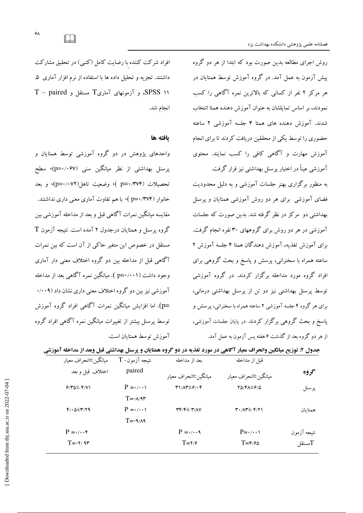روش اجرای مطالعه بدین صورت بود که ابتدا از هر دو گروه پیش آزمون به عمل آمد. در گروه آموزش توسط همتایان در هر مرکز ۲ نفر از کسانی که بالاترین نمره آگاهی را کسب نمودند، بر اساس تمایلشان به عنوان آموزش دهنده همتا انتخاب شدند. آموزش دهنده های همتا ۴ جلسه آموزشی ۲ ساعته حضوری را توسط یکی از محققین دریافت کردند تا برای انجام آموزش مهارت و آگاهی کافی را کسب نمایند. محتوی آموزشی عیناً در اختیار پرسنل بهداشتی نیز قرار گرفت.

به منظور برگزاری بهتر جلسات آموزشی و به دلیل محدودیت فضای آموزشی برای هر دو روش آموزشی همتایان و پرسنل بهداشتی دو مرکز در نظر گرفته شد. بدین صورت که جلسات آموزشی در هر دو روش برای گروههای ۳۰ نفره انجام گرفت. برای آموزش تغذیه، آموزش دهندگان همتا ۴ جلسه آموزش ۲ ساعته همراه با سخنرانی، پرسش و پاسخ و بحث گروهی برای افراد گروه مورد مداخله برگزار کردند. در گروه آموزشی توسط پرسنل بهداشتی نیز دو تن از پرسنل بهداشتی درمانی، برای هر گروه ۴ جلسه آموزشی ۲ ساعته همراه با سخنرانی، پرسش و پاسخ و بحث گروهی برگزار کردند. در پایان جلسات آموزشی، از هر دو گروه بعد از گذشت ۶ هفته پس آزمون به عمل آمد.

افراد شرکت کننده با رضایت کامل (کتبی) در تحقیق مشارکت داشتند. تجزیه و تحلیل داده ها با استفاده از نرم افزار آماری ۵. T – paired و آزمونهای آماری $T$  مستقل و SPSS ۱۱ انجام شد.

#### يافته ها

واحدهای پژوهش در دو گروه آموزشی توسط همتایان و یرسنل بھداشتی از نظر میانگین سنی (p=۰/۰۶۷)، سطح تحصيلات (p=۰/۳۷۴ )، وضعيت تاهل(p=۰/۰۷۲)، و بعد خانوار (p=۰/۳۷۴)، با هم تفاوت آماری معنی داری نداشتند. مقايسه ميانگين نمرات آگاهي قبل و بعد از مداخله آموزشي بين گروه پرسنل و همتایان درجدول ۲ آمده است. نتیجه آزمون T مستقل در خصوص این متغیر حاکی از آن است که بین نمرات آگاهی قبل از مداخله بین دو گروه اختلاف معنی دار آماری وجود داشت (p=۰/۰۰۱). میانگین نمره آگاهی بعد از مداخله آموزشي نيز بين دو گروه اختلاف معنى داري نشان داد (۰/۰۰۹ \_p). اما افزایش میانگین نمرات آگاهی افراد گروه آموزش توسط پرسنل بیشتر از تغییرات میانگین نمره آگاهی افراد گروه آموزش توسط همتابان است.

جدول ۲: توزیع میانگین وانحراف معیار آگاهی در مورد تغذیه در دو گروه همتایان و پرسنل بهداشتی قبل وبعد از مداخله آموزشی

| ميانگين±انحراف معيار            | $T$ -نتيجه آزمون                | بعد از مداخله                                                        | قبل از مداخله                                               |                |
|---------------------------------|---------------------------------|----------------------------------------------------------------------|-------------------------------------------------------------|----------------|
| اختلاف قبل وبعد                 | paired                          | ميانگين±انحراف معيار                                                 | ميانگين±انحراف معيار                                        | گروه           |
| $9/40 \pm 6/11$                 | $P = \cdot / \cdot \cdot \cdot$ | $T1/\Lambda T \pm 9/35$                                              | $Y\Delta/F\Delta \pm \mathcal{S}/\Delta$                    | پرسنل          |
|                                 | $T = -\lambda/3r$               |                                                                      |                                                             |                |
| $f/\cdot \Delta \pm r/\gamma q$ | $P = \cdot / \cdot \cdot \cdot$ | $\mathbf{r} \mathbf{r}$ / $\mathbf{r} \pm \mathbf{r}$ / $\mathbf{v}$ | $\mathbf{r} \cdot \mathbf{r} + \mathbf{r} \cdot \mathbf{r}$ | همتاىان        |
|                                 | $T = -9/A9$                     |                                                                      |                                                             |                |
| $P = \cdot/\cdot \cdot f$       |                                 | $P = \cdot / \cdot \cdot$                                            | $P = \cdot / \cdot \cdot \cdot$                             | نتيجه آزمون    |
| $T = -Y/9T$                     |                                 | $T = Y/2$                                                            | $T = \frac{\epsilon}{2}$                                    | سستقل $\Gamma$ |
|                                 |                                 |                                                                      |                                                             |                |

 $\Box$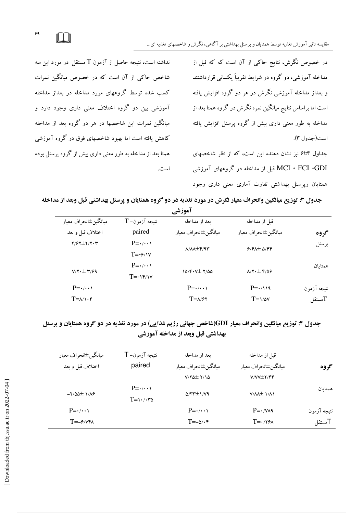نداشته است، نتیجه حاصل از آزمون  $\mathrm{T}$  مستقل در مورد این سه شاخص حاکی از آن است که در خصوص مبانگین نمرات کسب شده توسط گروههای مورد مداخله در بعداز مداخله آموزشی بین دو گروه اختلاف معنی داری وجود دارد و میانگین نمرات این شاخصها در هر دو گروه بعد از مداخله کاهش یافته است اما بهبود شاخصهای فوق در گروه آموزشی همتا بعد از مداخله به طور معنی داری بیش از گروه پرسنل بوده است. در خصوص نگرش، نتایج حاکی از آن است که که قبل از مداخله آموزشی، دو گروه در شرایط تقریباً یکسانی قرارداشتند و بعداز مداخله آموزشی نگرش در هر دو گروه افزایش یافته است اما براساس نتایج میانگین نمره نگرش در گروه همتا بعد از مداخله به طور معنی داری بیش از گروه پرسنل افزایش یافته است(جدول ٣).

جداول ۴تا۶ نیز نشان دهنده این است، که از نظر شاخصهای MCI ، FCI ،GDI قبل از مداخله در گروههای آموزشی همتایان وپرسنل بهداشتی تفاوت آماری معنی داری وجود

جدول ۳: توزیع میانگین وانحراف معیار نگرش در مورد تغذیه در دو گروه همتایان و پرسنل بهداشتی قبل وبعد از مداخله

| <b>آمورشی</b>                              |                                              |                                                                    |                                                                     |             |  |
|--------------------------------------------|----------------------------------------------|--------------------------------------------------------------------|---------------------------------------------------------------------|-------------|--|
| ميانگين±انحراف معيار                       | $\rm T$ -نتيجه آزمون                         | بعد از مداخله                                                      | قبل از مداخله                                                       |             |  |
| اختلاف قبل و بعد                           | paired                                       | مبانگين#نحراف معيار                                                | ميانگين±انحراف معيار                                                | گروه        |  |
| $Y/5Y \pm Y/Y \cdot Y$                     | $P = \cdot / \cdot \cdot \cdot$              | $\Lambda/\Lambda\Lambda \pm \mathfrak{F}/\mathfrak{A}\mathfrak{r}$ | $9/9$ $\pm$ $\Delta$ /۴۴                                            | پرسنل       |  |
|                                            | $T = -\frac{\epsilon}{v}$                    |                                                                    |                                                                     |             |  |
|                                            | $P = \cdot / \cdot \cdot \cdot$              | $10/F. V\pm 7/00$                                                  |                                                                     | همتاىان     |  |
| $V/Y \cdot \pm \Upsilon/99$                | $T = -\gamma \mathcal{F}/\gamma \mathcal{V}$ |                                                                    | $\lambda$ / $\mathbf{Y} \cdot \pm \mathbf{F}$ / $\Delta \mathbf{F}$ |             |  |
| $P = \cdot / \cdot \cdot \cdot$            |                                              | $P = \cdot / \cdot \cdot \cdot$                                    | $P = \cdot \wedge \vee \vee$                                        | نتيجه آزمون |  |
| $T = \lambda / \lambda \cdot \mathfrak{r}$ |                                              | $T = \lambda/\mathcal{F}$                                          | $T = \frac{1}{2}$                                                   | Tمستقل      |  |

# جدول ۴: توزیع میانگین وانحراف معیار GDI(شاخص جهانی رژیم غذایی) در مورد تغذیه در دو گروه همتایان و پرسنل بهداشتی قبل وبعد از مداخله آموزشی

| ميانگين±انحراف معيار<br>اختلاف قبل وبعد | نتيجه آزمون= T<br>paired                                  | بعد از مداخله<br>ميانگين±انحراف معيار<br>$V/Y\Delta\pm Y/\Delta$ | قبل از مداخله<br>ميانگين±انحراف معيار<br>$V/VV \pm Y/FF$ | گروه        |
|-----------------------------------------|-----------------------------------------------------------|------------------------------------------------------------------|----------------------------------------------------------|-------------|
| $-7/00 \pm 1/19$                        | $P = \cdot / \cdot \cdot \cdot$<br>$T = \sqrt{3} \cdot 7$ | $\Delta$ /۳۳ $\pm$ 1/79                                          | $V/\Lambda\Lambda\pm 1/\Lambda$                          | همتاىان     |
| $P = \cdot / \cdot \cdot \cdot$         |                                                           | $P = \cdot / \cdot \cdot \cdot$                                  | $P = \cdot / \sqrt{2}$                                   | نتيجه آزمون |
| $T = -9/VPA$                            |                                                           | $T = -\Delta/\cdot \hat{r}$                                      | $T = \cdot 79A$                                          | Tمستقل      |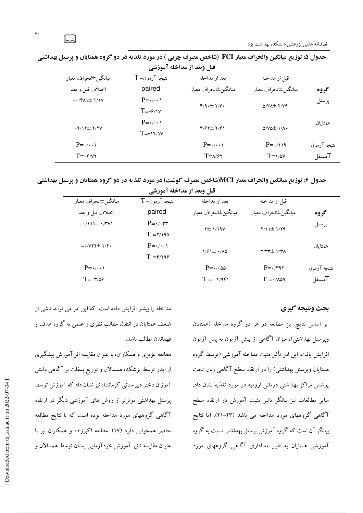| قبل وبعد از مداخله آموزشي       |                                 |                                                       |                                   |             |  |
|---------------------------------|---------------------------------|-------------------------------------------------------|-----------------------------------|-------------|--|
| ميانگين±انحراف معيار            | ${\sf T}$ نتيجه آزمون           | بعد از مداخله                                         | قبل از مداخله                     |             |  |
| اختلاف قبل وبعد                 | paired                          | ميانگين±انحراف معيار                                  | ميانگين±انحراف معيار              | گروه        |  |
| $-\cdot$ /FAI $\pm$ 1/1V        | $P = \cdot / \cdot \cdot \cdot$ | $Y/9.1 + Y/7.$                                        |                                   | پرسنل       |  |
|                                 | $T = -9/1V$                     |                                                       | $\Delta$ /۳ $\Delta$ $\pm$ ۲/۳۹   |             |  |
|                                 | $P = \cdot / \cdot \cdot \cdot$ |                                                       |                                   | همتاىان     |  |
| $-Y/17\pm 7/7V$                 | $T = -\frac{Y}{Y}$              | $\mathbf{Y}/\mathbf{Y}$ $\pm$ $\mathbf{Y}/\mathbf{Y}$ | $\Delta/V\Delta\pm$ $1/\Lambda$ . |             |  |
| $P = \cdot / \cdot \cdot \cdot$ |                                 | $P = \cdot / \cdot \cdot \cdot$                       | $P = \cdot / \cdot \sqrt{9}$      | نتيجه آزمون |  |
| $T = -\mathbf{y}/\mathbf{y}$    |                                 | $T = \lambda/\hat{r}$                                 | $T = \frac{1}{2}$                 | Tمستقل      |  |

جدول ۵: توزیع میانگین وانحراف معیار FCI (شاخص مصرف چربی ) در مورد تغذیه در دو گروه همتایان و پرسنل بهداشتی

جدول ۶: توزیع میانگین وانحراف معیار MCI(شاخص مصرف گوشت) در مورد تغذیه در دو گروه همتایان و پرسنل بهداشتی

| <b>قبل وبعد از مداحله آموزشی</b> |                                 |                                   |                            |             |  |
|----------------------------------|---------------------------------|-----------------------------------|----------------------------|-------------|--|
| ميانگين±انحراف معيار             | $\rm T$ -نتيجه آزمون            | بعد از مداخله                     | قبل از مداخله              |             |  |
| اختلاف قبل وبعد                  | paired                          | ميانگين±انحراف معيار              | ميانگين±انحراف معيار       | گروه        |  |
| $-\cdot/111 \pm \cdot/7V1$       | $P = \cdot / \cdot \tau$        | $Y\pm 1/19V$                      | $Y/11 \pm 1/79$            | پرسنل       |  |
|                                  | $T = Y/190$                     |                                   |                            |             |  |
| $-\cdot$ /VYY $\pm$ $\sqrt{7}$ . | $P = \cdot / \cdot \cdot \cdot$ | $1/91 \pm 1/10$                   | $Y/YY^{\pm}$ )/۳ $\Lambda$ | همتاىان     |  |
|                                  | $T = \frac{\epsilon}{3}$        |                                   |                            |             |  |
| $P = \cdot / \cdot \cdot \cdot$  |                                 | $P = \cdot / \cdot \Delta \Delta$ | $P = \cdot 797$            | نتيجه آزمون |  |
| $T = -r/29$                      |                                 | $T = -1/951$                      | $T = \frac{1}{2}$          | Tمستقل      |  |
|                                  |                                 |                                   |                            |             |  |

### بحث ونتيجه كيرى

بر اساس نتایج این مطالعه در هر دو گروه مداخله (همتایان ویرسنل بهداشتی)، میزان آگاهی از پیش آزمون به پس آزمون افزایش یافت. این امر تأثیر مثبت مداخله آموزشی (توسط گروه همتایان وپرسنل بهداشتی) را در ارتقاء سطح آگاهی زنان تحت یوشش مراکز بهداشتی درمانی ارومیه در مورد تغذیه نشان داد. سایر مطالعات نیز بیانگر تاثیر مثبت آموزش در ارتقاء سطح آگاهی گروههای مورد مداخله می باشد (۲۳–۲۱). اما نتایج بیانگر آن است که گروه آموزش پرسنل بهداشتی نسبت به گروه آموزشی همتایان به طور معناداری آگاهی گروههای مورد

مداخله را بیشتر افزایش داده است. که این امر می تواند ناشی از ضعف همتایان در انتقال مطالب نظری و علمی به گروه هدف و فهماندن مطالب باشد.

مطالعه عزیزی و همکاران، با عنوان مقایسه اثر آموزش پیشگیری از ایدز توسط پزشک، همسالان و توزیع پمفلت بر آگاهی دانش آموزان دختر دبیر ستانی کرمانشاه نیز نشان داد که آموزش توسط پرسنل بهداشتی موثرتر از روش های آموزشی دیگر در ارتقاء آگاهی گروههای مورد مداخله بوده است که با نتایج مطالعه حاضر همخوانی دارد (١٧). مطالعه اکبرزاده و همکاران نیز با عنوان مقایسه تاثیر آموزش خودآزمایی پستان توسط همسالان و

 $\Box$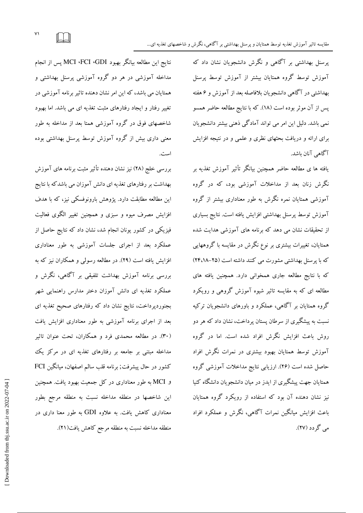پرسنل بهداشتی بر آگاهی و نگرش دانشجویان نشان داد که آموزش توسط گروه همتایان بیشتر از آموزش توسط پرسنل بهداشتی در آگاهی دانشجویان بلافاصله بعد از آموزش و ۶ هفته پس از آن موثر بوده است (١٨). كه با نتايج مطالعه حاضر همسو نمي باشد. دليل اين امر مي تواند آمادگي ذهني بيشتر دانشجويان برای ارائه و دریافت بحثهای نظری و علمی و در نتیجه افزایش آگاهي آنان باشد.

یافته ها ی مطالعه حاضر همچنین بیانگر تأثیر آموزش تغذیه بر نگرش زنان بعد از مداخلات آموزشی بود، که در گروه آموزشی همتایان نمره نگرش به طور معناداری بیشتر از گروه آموزش توسط پرسنل بهداشتی افزایش یافته است. نتایج بسیاری از تحقیقات نشان می دهد که برنامه های آموزشی هدایت شده همتایان، تغییرات بیشتری بر نوع نگرش در مقایسه با گروههایی که با پرسنل بهداشتی مشورت می کنند داشته است (۲۵–۲۴،۱۸) که با نتایج مطالعه جاری همخوانی دارد. همچنین یافته های مطالعه ای که به مقایسه تاثیر شیوه آموزش گروهی و رویکرد گروه همتایان بر آگاهی، عملکرد و باورهای دانشجویان ترکیه نسبت به پیشگیری از سرطان پستان پرداخت، نشان داد که هر دو روش باعث افزایش نگرش افراد شده است. اما در گروه آموزش توسط همتایان بهبود بیشتری در نمرات نگرش افراد حاصل شده است (۲۶). ارزیابی نتایج مداخلات آموزشی گروه همتایان جهت پیشگیری از ایدز در میان دانشجویان دانشگاه کنیا نیز نشان دهنده آن بود که استفاده از رویکرد گروه همتایان باعث افزایش میانگین نمرات آگاهی، نگرش و عملکرد افراد مي گر دد (٢٧).

نتايج اين مطالعه بيانگر بهبود MCI ،FCI ،GDI پس از انجام مداخله آموزشی در هر دو گروه آموزشی پرسنل بهداشتی و همتایان می باشد، که این امر نشان دهنده تاثیر برنامه آموزشی در تغییر رفتار و ایجاد رفتارهای مثبت تغذیه ای می باشد. اما بهبود شاخصهای فوق در گروه آموزشی همتا بعد از مداخله به طور معنی داری بیش از گروه آموزش توسط پرسنل بهداشتی بوده است.

بررسی خلج (۲۸) نیز نشان دهنده تأثیر مثبت برنامه های آموزش بهداشت بر رفتارهای تغذیه ای دانش آموزان می باشدکه با نتایج این مطالعه مطابقت دارد. پژوهش بارونوفسکی نیز، که با هدف افزایش مصرف میوه و سبزی و همچنین تغییر الگوی فعالیت فیزیکی در کشور یونان انجام شد، نشان داد که نتایج حاصل از عملکرد بعد از اجرای جلسات آموزشی به طور معناداری افزایش یافته است (۲۹). در مطالعه رسولی و همکاران نیز که به بررسی برنامه آموزش بهداشت تلفیقی بر آگاهی، نگرش و عملکرد تغذیه ای دانش آموزان دختر مدارس راهنمایی شهر بجنوردپرداخت، نتایج نشان داد که رفتارهای صحیح تغذیه ای بعد از اجرای برنامه آموزشی به طور معناداری افزایش یافت (۳۰). در مطالعه محمدی فرد و همکاران، تحت عنوان تاثیر مداخله مبتنی بر جامعه بر رفتارهای تغذیه ای در مرکز یک كشور در حال پیشرفت; برنامه قلب سالم اصفهان، میانگین FCI و MCI به طور معناداری در کل جمعیت بهبود یافت. همچنین این شاخصها در منطقه مداخله نسبت به منطقه مرجع بطور معناداری کاهش یافت. به علاوه GDI به طور معنا داری در منطقه مداخله نسبت به منطقه مرجع كاهش يافت(٢١).

 $\vee$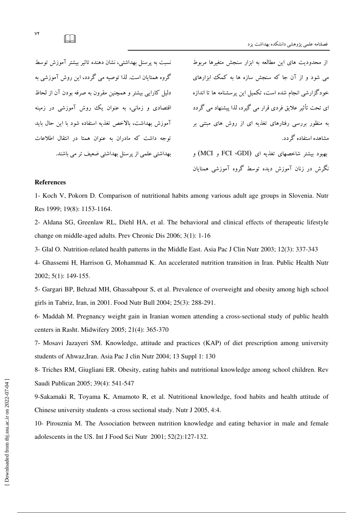نسبت به پرسنل بهداشتی، نشان دهنده تاثیر بیشتر آموزش توسط گروه همتایان است. لذا توصیه می گردد، این روش آموزشی به دلیل کارایی بیشتر و همچنین مقرون به صرفه بودن آن از لحاظ اقتصادی و زمانی، به عنوان یک روش آموزشی در زمینه آموزش بهداشت، بالاخص تغذیه استفاده شود با این حال باید توجه داشت كه مادران به عنوان همتا در انتقال اطلاعات بهداشتی علمی از یرسنل بهداشتی ضعیف تر می باشند.

از محدودیت های این مطالعه به ابزار سنجش متغیرها مربوط می شود و از آن جا که سنجش سازه ها به کمک ابزارهای خودگزارشی انجام شده است، تکمیل این پرسشنامه ها تا اندازه ای تحت تأثیر علایق فردی قرار می گیرد، لذا پیشنهاد می گردد به منظور بررسی رفتارهای تغذیه ای از روش های مبتنی بر مشاهده استفاده گردد.

بهبود بیشتر شاخصهای تغذیه ای (FCI ،GDI و MCI) و نگرش در زنان آموزش دیده توسط گروه آموزشی همتایان

#### References

1- Koch V, Pokorn D. Comparison of nutritional habits among various adult age groups in Slovenia. Nutr Res 1999; 19(8): 1153-1164.

2- Aldana SG, Greenlaw RL, Diehl HA, et al. The behavioral and clinical effects of therapeutic lifestyle change on middle-aged adults. Prev Chronic Dis 2006; 3(1): 1-16

3- Glal O. Nutrition-related health patterns in the Middle East. Asia Pac J Clin Nutr 2003; 12(3): 337-343

4- Ghassemi H, Harrison G, Mohammad K. An accelerated nutrition transition in Iran. Public Health Nutr 2002; 5(1): 149-155.

5- Gargari BP, Behzad MH, Ghassabpour S, et al. Prevalence of overweight and obesity among high school girls in Tabriz, Iran, in 2001. Food Nutr Bull 2004; 25(3): 288-291.

6- Maddah M. Pregnancy weight gain in Iranian women attending a cross-sectional study of public health centers in Rasht. Midwifery 2005; 21(4): 365-370

7- Mosavi Jazayeri SM. Knowledge, attitude and practices (KAP) of diet prescription among university students of Ahwaz,Iran. Asia Pac J clin Nutr 2004; 13 Suppl 1: 130

8- Triches RM, Giugliani ER. Obesity, eating habits and nutritional knowledge among school children. Rev Saudi Publican 2005; 39(4): 541-547

9-Sakamaki R, Toyama K, Amamoto R, et al. Nutritional knowledge, food habits and health attitude of Chinese university students -a cross sectional study. Nutr J 2005, 4:4.

10- Pirouznia M. The Association between nutrition knowledge and eating behavior in male and female adolescents in the US. Int J Food Sci Nutr 2001; 52(2):127-132.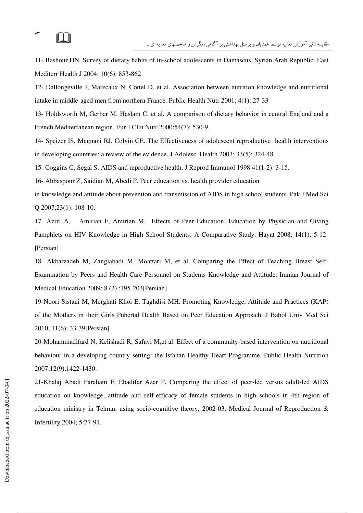11- Bashour HN. Survey of dietary habits of in-school adolescents in Damascus, Syrian Arab Republic. East Mediterr Health J 2004; 10(6): 853-862

12- Dallongeville J, Marecaux N, Cottel D, et al. Association between nutrition knowledge and nutritional intake in middle-aged men from northern France. Public Health Nutr 2001; 4(1): 27-33

13- Holdsworth M, Gerber M, Haslam C, et al. A comparison of dietary behavior in central England and a French Mediterranean region. Eur J Clin Nutr 2000;54(7): 530-9.

14- Speizer IS, Magnani RJ, Colvin CE. The Effectiveness of adolescent reproductive health interventions in developing countries: a review of the evidence. J Adolesc Health 2003; 33(5): 324-48

15- Coggins C, Segal S. AIDS and reproductive health. J Reprod Immunol 1998 41(1-2): 3-15.

16- Abbaspour Z, Saidian M, Abedi P. Peer education vs. health provider education

in knowledge and attitude about prevention and transmission of AIDS in high school students. Pak J Med Sci Q 2007;23(1): 108-10.

17- Azizi A, Amirian F, Amirian M. Effects of Peer Education, Education by Physician and Giving Pamphlets on HIV Knowledge in High School Students: A Comparative Study. Hayat 2008; 14(1): 5-12 [Persian]

18- Akbarzadeh M, Zangiabadi M, Moattari M, et al. Comparing the Effect of Teaching Breast Self-Examination by Peers and Health Care Personnel on Students Knowledge and Attitude. Iranian Journal of Medical Education 2009; 8 (2) :195-203[Persian]

19-Noori Sistani M, Merghati Khoi E, Taghdisi MH. Promoting Knowledge, Attitude and Practices (KAP) of the Mothers in their Girls Pubertal Health Based on Peer Education Approach. J Babol Univ Med Sci 2010; 11(6): 33-39[Persian]

20-Mohammadifard N, Kelishadi R, Safavi M,et al. Effect of a community-based intervention on nutritional behaviour in a developing country setting: the Isfahan Healthy Heart Programme. Public Health Nutrition 2007;12(9),1422-1430.

21-Khalaj Abadi Farahani F, Ebadifar Azar F. Comparing the effect of peer-led versus adult-led AIDS education on knowledge, attitude and self-efficacy of female students in high schools in 4th region of education ministry in Tehran, using socio-cognitive theory, 2002-03. Medical Journal of Reproduction & Infertility 2004; 5:77-91.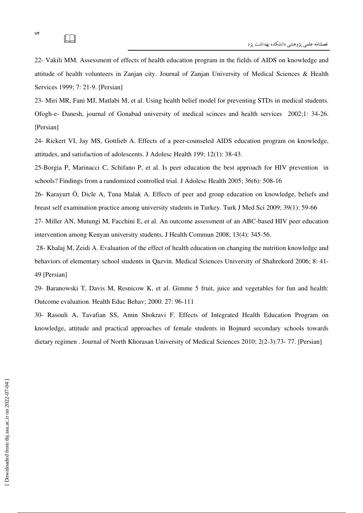22- Vakili MM. Assessment of effects of health education program in the fields of AIDS on knowledge and attitude of health volunteers in Zanjan city. Journal of Zanjan University of Medical Sciences & Health Services 1999; 7: 21-9. [Persian]

23- Miri MR, Fani MJ, Matlabi M, et al. Using health belief model for preventing STDs in medical students. Ofogh-e- Danesh, journal of Gonabad university of medical scinces and health services 2002;1: 34-26. [Persian]

24- Rickert VI, Jay MS, Gottlieb A. Effects of a peer-counseled AIDS education program on knowledge, attitudes, and satisfaction of adolescents. J Adolesc Health 199; 12(1): 38-43.

25-Borgia P, Marinacci C, Schifano P, et al. Is peer education the best approach for HIV prevention in schools? Findings from a randomized controlled trial. J Adolesc Health 2005; 36(6): 508-16

26- Karayurt Ö, Dicle A, Tuna Malak A. Effects of peer and group education on knowledge, beliefs and breast self examination practice among university students in Turkey. Turk J Med Sci 2009; 39(1): 59-66

27- Miller AN, Mutungi M, Facchini E, et al. An outcome assessment of an ABC-based HIV peer education intervention among Kenyan university students. J Health Commun 2008; 13(4): 345-56.

 28- Khalaj M, Zeidi A. Evaluation of the effect of health education on changing the nutrition knowledge and behaviors of elementary school students in Qazvin. Medical Sciences University of Shahrekord 2006; 8: 41- 49 [Persian]

29- Baranowski T, Davis M, Resnicow K, et al. Gimme 5 fruit, juice and vegetables for fun and health: Outcome evaluation. Health Educ Behav; 2000. 27: 96-111

30- Rasouli A, Tavafian SS, Amin Shokravi F. Effects of Integrated Health Education Program on knowledge, attitude and practical approaches of female students in Bojnurd secondary schools towards dietary regimen . Journal of North Khorasan University of Medical Sciences 2010; 2(2-3):73- 77. [Persian]